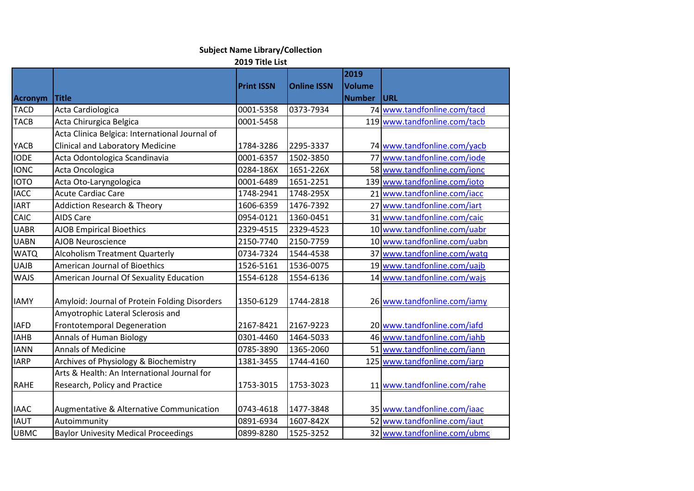## **Subject Name Library/Collection**

**2019 Title List**

| <b>Acronym</b> | <b>Title</b>                                   | <b>Print ISSN</b> | <b>Online ISSN</b> | 2019<br>Volume<br><b>Number</b> | URL                          |
|----------------|------------------------------------------------|-------------------|--------------------|---------------------------------|------------------------------|
| <b>TACD</b>    | Acta Cardiologica                              | 0001-5358         | 0373-7934          |                                 | 74 www.tandfonline.com/tacd  |
| <b>TACB</b>    | Acta Chirurgica Belgica                        | 0001-5458         |                    |                                 | 119 www.tandfonline.com/tacb |
|                | Acta Clinica Belgica: International Journal of |                   |                    |                                 |                              |
| YACB           | <b>Clinical and Laboratory Medicine</b>        | 1784-3286         | 2295-3337          |                                 | 74 www.tandfonline.com/yacb  |
| <b>IODE</b>    | Acta Odontologica Scandinavia                  | 0001-6357         | 1502-3850          | 77                              | www.tandfonline.com/iode     |
| <b>IONC</b>    | Acta Oncologica                                | 0284-186X         | 1651-226X          |                                 | 58 www.tandfonline.com/ionc  |
| <b>IOTO</b>    | Acta Oto-Laryngologica                         | 0001-6489         | 1651-2251          |                                 | 139 www.tandfonline.com/ioto |
| <b>IACC</b>    | <b>Acute Cardiac Care</b>                      | 1748-2941         | 1748-295X          |                                 | 21 www.tandfonline.com/iacc  |
| <b>IART</b>    | <b>Addiction Research &amp; Theory</b>         | 1606-6359         | 1476-7392          |                                 | 27 www.tandfonline.com/iart  |
| CAIC           | <b>AIDS Care</b>                               | 0954-0121         | 1360-0451          |                                 | 31 www.tandfonline.com/caic  |
| <b>UABR</b>    | <b>AJOB Empirical Bioethics</b>                | 2329-4515         | 2329-4523          |                                 | 10 www.tandfonline.com/uabr  |
| <b>UABN</b>    | <b>AJOB Neuroscience</b>                       | 2150-7740         | 2150-7759          |                                 | 10 www.tandfonline.com/uabn  |
| <b>WATQ</b>    | <b>Alcoholism Treatment Quarterly</b>          | 0734-7324         | 1544-4538          |                                 | 37 www.tandfonline.com/watq  |
| <b>UAJB</b>    | <b>American Journal of Bioethics</b>           | 1526-5161         | 1536-0075          |                                 | 19 www.tandfonline.com/uajb  |
| <b>WAJS</b>    | American Journal Of Sexuality Education        | 1554-6128         | 1554-6136          |                                 | 14 www.tandfonline.com/wajs  |
| <b>IAMY</b>    | Amyloid: Journal of Protein Folding Disorders  | 1350-6129         | 1744-2818          |                                 | 26 www.tandfonline.com/iamy  |
|                | Amyotrophic Lateral Sclerosis and              |                   |                    |                                 |                              |
| <b>IAFD</b>    | Frontotemporal Degeneration                    | 2167-8421         | 2167-9223          |                                 | 20 www.tandfonline.com/iafd  |
| <b>IAHB</b>    | <b>Annals of Human Biology</b>                 | 0301-4460         | 1464-5033          |                                 | 46 www.tandfonline.com/iahb  |
| <b>IANN</b>    | <b>Annals of Medicine</b>                      | 0785-3890         | 1365-2060          |                                 | 51 www.tandfonline.com/iann  |
| <b>IARP</b>    | Archives of Physiology & Biochemistry          | 1381-3455         | 1744-4160          |                                 | 125 www.tandfonline.com/iarp |
|                | Arts & Health: An International Journal for    |                   |                    |                                 |                              |
| <b>RAHE</b>    | Research, Policy and Practice                  | 1753-3015         | 1753-3023          |                                 | 11 www.tandfonline.com/rahe  |
| <b>IAAC</b>    | Augmentative & Alternative Communication       | 0743-4618         | 1477-3848          |                                 | 35 www.tandfonline.com/iaac  |
| <b>IAUT</b>    | Autoimmunity                                   | 0891-6934         | 1607-842X          |                                 | 52 www.tandfonline.com/iaut  |
| <b>UBMC</b>    | <b>Baylor Univesity Medical Proceedings</b>    | 0899-8280         | 1525-3252          |                                 | 32 www.tandfonline.com/ubmc  |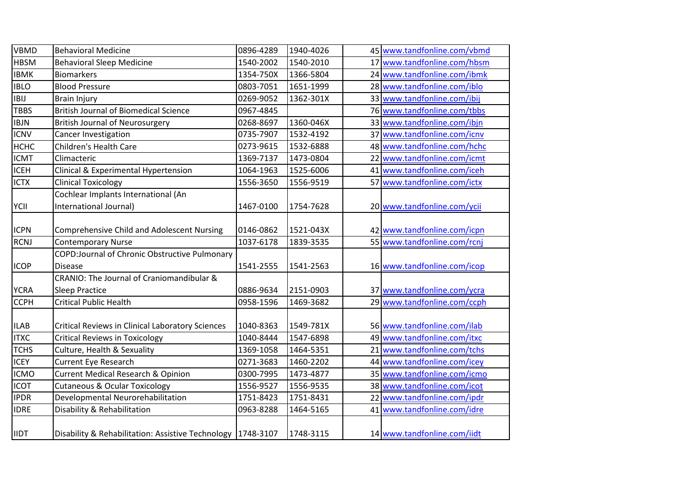| <b>VBMD</b> | <b>Behavioral Medicine</b>                                    | 0896-4289 | 1940-4026 | 45 www.tandfonline.com/vbmd |
|-------------|---------------------------------------------------------------|-----------|-----------|-----------------------------|
| <b>HBSM</b> | <b>Behavioral Sleep Medicine</b>                              | 1540-2002 | 1540-2010 | 17 www.tandfonline.com/hbsm |
| <b>IBMK</b> | <b>Biomarkers</b>                                             | 1354-750X | 1366-5804 | 24 www.tandfonline.com/ibmk |
| <b>IBLO</b> | <b>Blood Pressure</b>                                         | 0803-7051 | 1651-1999 | 28 www.tandfonline.com/iblo |
| <b>IBIJ</b> | <b>Brain Injury</b>                                           | 0269-9052 | 1362-301X | 33 www.tandfonline.com/ibij |
| TBBS        | <b>British Journal of Biomedical Science</b>                  | 0967-4845 |           | 76 www.tandfonline.com/tbbs |
| <b>IBJN</b> | <b>British Journal of Neurosurgery</b>                        | 0268-8697 | 1360-046X | 33 www.tandfonline.com/ibjn |
| <b>ICNV</b> | Cancer Investigation                                          | 0735-7907 | 1532-4192 | 37 www.tandfonline.com/icnv |
| <b>HCHC</b> | <b>Children's Health Care</b>                                 | 0273-9615 | 1532-6888 | 48 www.tandfonline.com/hchc |
| <b>ICMT</b> | Climacteric                                                   | 1369-7137 | 1473-0804 | 22 www.tandfonline.com/icmt |
| <b>ICEH</b> | Clinical & Experimental Hypertension                          | 1064-1963 | 1525-6006 | 41 www.tandfonline.com/iceh |
| <b>ICTX</b> | <b>Clinical Toxicology</b>                                    | 1556-3650 | 1556-9519 | 57 www.tandfonline.com/ictx |
|             | Cochlear Implants International (An                           |           |           |                             |
| YCII        | International Journal)                                        | 1467-0100 | 1754-7628 | 20 www.tandfonline.com/ycii |
|             |                                                               |           |           |                             |
| <b>ICPN</b> | <b>Comprehensive Child and Adolescent Nursing</b>             | 0146-0862 | 1521-043X | 42 www.tandfonline.com/icpn |
| <b>RCNJ</b> | <b>Contemporary Nurse</b>                                     | 1037-6178 | 1839-3535 | 55 www.tandfonline.com/rcnj |
|             | COPD: Journal of Chronic Obstructive Pulmonary                |           |           |                             |
| <b>ICOP</b> | <b>Disease</b>                                                | 1541-2555 | 1541-2563 | 16 www.tandfonline.com/icop |
|             | CRANIO: The Journal of Craniomandibular &                     |           |           |                             |
| <b>YCRA</b> | <b>Sleep Practice</b>                                         | 0886-9634 | 2151-0903 | 37 www.tandfonline.com/ycra |
| <b>CCPH</b> | <b>Critical Public Health</b>                                 | 0958-1596 | 1469-3682 | 29 www.tandfonline.com/ccph |
|             |                                                               |           |           |                             |
| <b>ILAB</b> | Critical Reviews in Clinical Laboratory Sciences              | 1040-8363 | 1549-781X | 56 www.tandfonline.com/ilab |
| <b>ITXC</b> | <b>Critical Reviews in Toxicology</b>                         | 1040-8444 | 1547-6898 | 49 www.tandfonline.com/itxc |
| <b>TCHS</b> | Culture, Health & Sexuality                                   | 1369-1058 | 1464-5351 | 21 www.tandfonline.com/tchs |
| <b>ICEY</b> | <b>Current Eye Research</b>                                   | 0271-3683 | 1460-2202 | 44 www.tandfonline.com/icey |
| <b>ICMO</b> | <b>Current Medical Research &amp; Opinion</b>                 | 0300-7995 | 1473-4877 | 35 www.tandfonline.com/icmo |
| <b>ICOT</b> | <b>Cutaneous &amp; Ocular Toxicology</b>                      | 1556-9527 | 1556-9535 | 38 www.tandfonline.com/icot |
| <b>IPDR</b> | Developmental Neurorehabilitation                             | 1751-8423 | 1751-8431 | 22 www.tandfonline.com/ipdr |
| <b>IDRE</b> | Disability & Rehabilitation                                   | 0963-8288 | 1464-5165 | 41 www.tandfonline.com/idre |
| <b>IIDT</b> | Disability & Rehabilitation: Assistive Technology   1748-3107 |           | 1748-3115 | 14 www.tandfonline.com/iidt |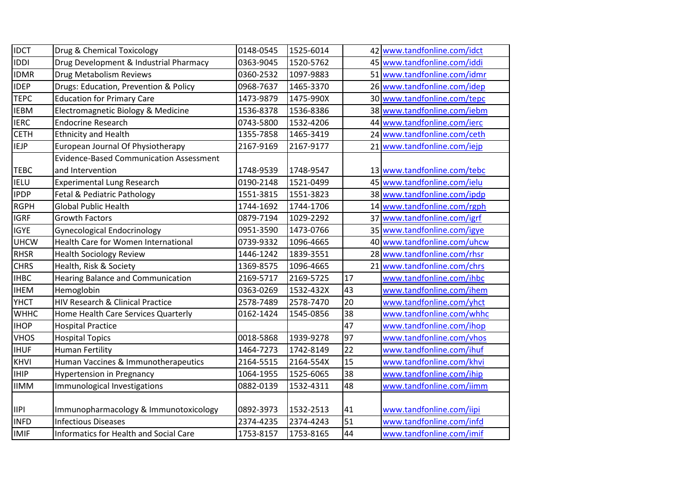| <b>IDCT</b>     | Drug & Chemical Toxicology                     | 0148-0545 | 1525-6014 |    | 42 www.tandfonline.com/idct |
|-----------------|------------------------------------------------|-----------|-----------|----|-----------------------------|
| <b>IDDI</b>     | Drug Development & Industrial Pharmacy         | 0363-9045 | 1520-5762 |    | 45 www.tandfonline.com/iddi |
| <b>IDMR</b>     | Drug Metabolism Reviews                        | 0360-2532 | 1097-9883 |    | 51 www.tandfonline.com/idmr |
| <b>IDEP</b>     | Drugs: Education, Prevention & Policy          | 0968-7637 | 1465-3370 |    | 26 www.tandfonline.com/idep |
| <b>TEPC</b>     | <b>Education for Primary Care</b>              | 1473-9879 | 1475-990X |    | 30 www.tandfonline.com/tepc |
| <b>IEBM</b>     | Electromagnetic Biology & Medicine             | 1536-8378 | 1536-8386 |    | 38 www.tandfonline.com/iebm |
| <b>IERC</b>     | <b>Endocrine Research</b>                      | 0743-5800 | 1532-4206 |    | 44 www.tandfonline.com/ierc |
| <b>CETH</b>     | <b>Ethnicity and Health</b>                    | 1355-7858 | 1465-3419 |    | 24 www.tandfonline.com/ceth |
| <b>IEJP</b>     | European Journal Of Physiotherapy              | 2167-9169 | 2167-9177 |    | 21 www.tandfonline.com/iejp |
|                 | <b>Evidence-Based Communication Assessment</b> |           |           |    |                             |
| <b>TEBC</b>     | and Intervention                               | 1748-9539 | 1748-9547 |    | 13 www.tandfonline.com/tebc |
| <b>IELU</b>     | <b>Experimental Lung Research</b>              | 0190-2148 | 1521-0499 |    | 45 www.tandfonline.com/ielu |
| <b>IPDP</b>     | Fetal & Pediatric Pathology                    | 1551-3815 | 1551-3823 |    | 38 www.tandfonline.com/ipdp |
| <b>RGPH</b>     | <b>Global Public Health</b>                    | 1744-1692 | 1744-1706 |    | 14 www.tandfonline.com/rgph |
| <b>IGRF</b>     | <b>Growth Factors</b>                          | 0879-7194 | 1029-2292 |    | 37 www.tandfonline.com/igrf |
| <b>IGYE</b>     | <b>Gynecological Endocrinology</b>             | 0951-3590 | 1473-0766 |    | 35 www.tandfonline.com/igye |
| <b>UHCW</b>     | Health Care for Women International            | 0739-9332 | 1096-4665 |    | 40 www.tandfonline.com/uhcw |
| <b>RHSR</b>     | <b>Health Sociology Review</b>                 | 1446-1242 | 1839-3551 |    | 28 www.tandfonline.com/rhsr |
| <b>CHRS</b>     | Health, Risk & Society                         | 1369-8575 | 1096-4665 |    | 21 www.tandfonline.com/chrs |
| <b>IHBC</b>     | <b>Hearing Balance and Communication</b>       | 2169-5717 | 2169-5725 | 17 | www.tandfonline.com/ihbc    |
| <b>IHEM</b>     | Hemoglobin                                     | 0363-0269 | 1532-432X | 43 | www.tandfonline.com/ihem    |
| <b>YHCT</b>     | HIV Research & Clinical Practice               | 2578-7489 | 2578-7470 | 20 | www.tandfonline.com/yhct    |
| <b>WHHC</b>     | Home Health Care Services Quarterly            | 0162-1424 | 1545-0856 | 38 | www.tandfonline.com/whhc    |
| <b>IHOP</b>     | <b>Hospital Practice</b>                       |           |           | 47 | www.tandfonline.com/ihop    |
| <b>VHOS</b>     | <b>Hospital Topics</b>                         | 0018-5868 | 1939-9278 | 97 | www.tandfonline.com/vhos    |
| <b>IHUF</b>     | <b>Human Fertility</b>                         | 1464-7273 | 1742-8149 | 22 | www.tandfonline.com/ihuf    |
| <b>KHVI</b>     | Human Vaccines & Immunotherapeutics            | 2164-5515 | 2164-554X | 15 | www.tandfonline.com/khvi    |
| <b>IHIP</b>     | <b>Hypertension in Pregnancy</b>               | 1064-1955 | 1525-6065 | 38 | www.tandfonline.com/ihip    |
| <b>IIMM</b>     | Immunological Investigations                   | 0882-0139 | 1532-4311 | 48 | www.tandfonline.com/iimm    |
|                 |                                                |           |           |    |                             |
| $\mathsf{IIPI}$ | Immunopharmacology & Immunotoxicology          | 0892-3973 | 1532-2513 | 41 | www.tandfonline.com/iipi    |
| <b>INFD</b>     | <b>Infectious Diseases</b>                     | 2374-4235 | 2374-4243 | 51 | www.tandfonline.com/infd    |
| <b>IMIF</b>     | <b>Informatics for Health and Social Care</b>  | 1753-8157 | 1753-8165 | 44 | www.tandfonline.com/imif    |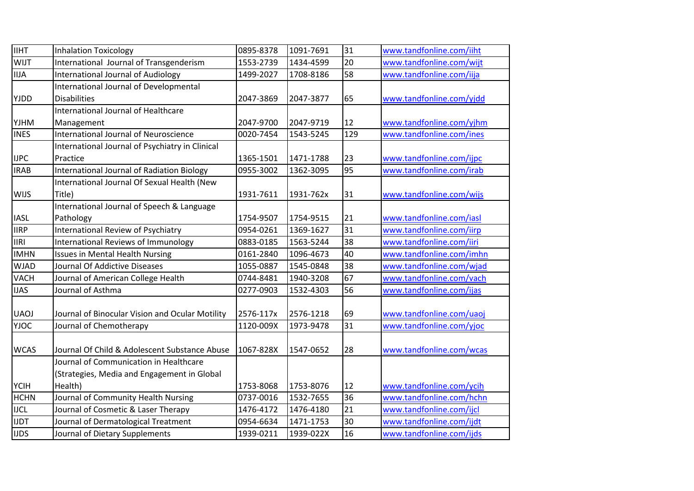| <b>IIHT</b> | <b>Inhalation Toxicology</b>                    | 0895-8378 | 1091-7691 | 31  | www.tandfonline.com/iiht |
|-------------|-------------------------------------------------|-----------|-----------|-----|--------------------------|
| WIJT        | International Journal of Transgenderism         | 1553-2739 | 1434-4599 | 20  | www.tandfonline.com/wijt |
| <b>IIJA</b> | <b>International Journal of Audiology</b>       | 1499-2027 | 1708-8186 | 58  | www.tandfonline.com/iija |
|             | International Journal of Developmental          |           |           |     |                          |
| YJDD        | <b>Disabilities</b>                             | 2047-3869 | 2047-3877 | 65  | www.tandfonline.com/yjdd |
|             | International Journal of Healthcare             |           |           |     |                          |
| <b>YJHM</b> | Management                                      | 2047-9700 | 2047-9719 | 12  | www.tandfonline.com/yjhm |
| <b>INES</b> | <b>International Journal of Neuroscience</b>    | 0020-7454 | 1543-5245 | 129 | www.tandfonline.com/ines |
|             | International Journal of Psychiatry in Clinical |           |           |     |                          |
| <b>IJPC</b> | Practice                                        | 1365-1501 | 1471-1788 | 23  | www.tandfonline.com/ijpc |
| <b>IRAB</b> | International Journal of Radiation Biology      | 0955-3002 | 1362-3095 | 95  | www.tandfonline.com/irab |
|             | International Journal Of Sexual Health (New     |           |           |     |                          |
| <b>WIJS</b> | Title)                                          | 1931-7611 | 1931-762x | 31  | www.tandfonline.com/wijs |
|             | International Journal of Speech & Language      |           |           |     |                          |
| <b>IASL</b> | Pathology                                       | 1754-9507 | 1754-9515 | 21  | www.tandfonline.com/iasl |
| <b>IIRP</b> | International Review of Psychiatry              | 0954-0261 | 1369-1627 | 31  | www.tandfonline.com/iirp |
| <b>IIRI</b> | <b>International Reviews of Immunology</b>      | 0883-0185 | 1563-5244 | 38  | www.tandfonline.com/iiri |
| <b>IMHN</b> | <b>Issues in Mental Health Nursing</b>          | 0161-2840 | 1096-4673 | 40  | www.tandfonline.com/imhn |
| <b>WJAD</b> | Journal Of Addictive Diseases                   | 1055-0887 | 1545-0848 | 38  | www.tandfonline.com/wjad |
| <b>VACH</b> | Journal of American College Health              | 0744-8481 | 1940-3208 | 67  | www.tandfonline.com/vach |
| <b>IJAS</b> | Journal of Asthma                               | 0277-0903 | 1532-4303 | 56  | www.tandfonline.com/ijas |
|             |                                                 |           |           |     |                          |
| <b>UAOJ</b> | Journal of Binocular Vision and Ocular Motility | 2576-117x | 2576-1218 | 69  | www.tandfonline.com/uaoj |
| <b>YJOC</b> | Journal of Chemotherapy                         | 1120-009X | 1973-9478 | 31  | www.tandfonline.com/yjoc |
|             |                                                 |           |           |     |                          |
| <b>WCAS</b> | Journal Of Child & Adolescent Substance Abuse   | 1067-828X | 1547-0652 | 28  | www.tandfonline.com/wcas |
|             | Journal of Communication in Healthcare          |           |           |     |                          |
|             | (Strategies, Media and Engagement in Global     |           |           |     |                          |
| <b>YCIH</b> | Health)                                         | 1753-8068 | 1753-8076 | 12  | www.tandfonline.com/ycih |
| <b>HCHN</b> | Journal of Community Health Nursing             | 0737-0016 | 1532-7655 | 36  | www.tandfonline.com/hchn |
| <b>IJCL</b> | Journal of Cosmetic & Laser Therapy             | 1476-4172 | 1476-4180 | 21  | www.tandfonline.com/ijcl |
| <b>IJDT</b> | Journal of Dermatological Treatment             | 0954-6634 | 1471-1753 | 30  | www.tandfonline.com/ijdt |
| <b>IJDS</b> | Journal of Dietary Supplements                  | 1939-0211 | 1939-022X | 16  | www.tandfonline.com/ijds |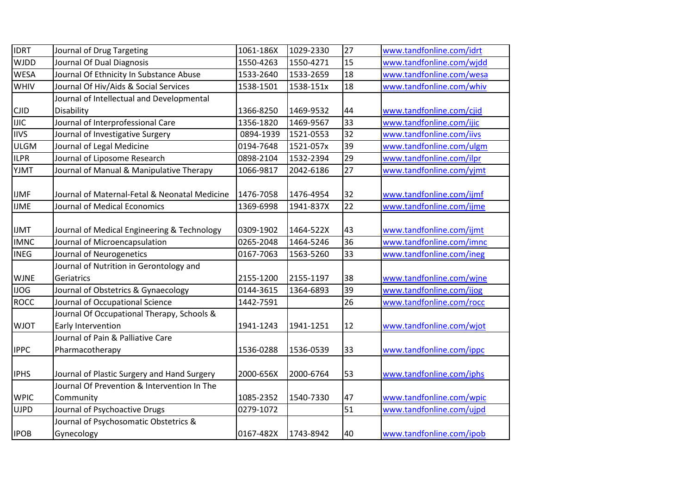| <b>IDRT</b> | Journal of Drug Targeting                     | 1061-186X | 1029-2330 | 27              | www.tandfonline.com/idrt |
|-------------|-----------------------------------------------|-----------|-----------|-----------------|--------------------------|
| <b>WJDD</b> | Journal Of Dual Diagnosis                     | 1550-4263 | 1550-4271 | 15              | www.tandfonline.com/wjdd |
| <b>WESA</b> | Journal Of Ethnicity In Substance Abuse       | 1533-2640 | 1533-2659 | 18              | www.tandfonline.com/wesa |
| WHIV        | Journal Of Hiv/Aids & Social Services         | 1538-1501 | 1538-151x | 18              | www.tandfonline.com/whiv |
|             | Journal of Intellectual and Developmental     |           |           |                 |                          |
| <b>CJID</b> | Disability                                    | 1366-8250 | 1469-9532 | 44              | www.tandfonline.com/cjid |
| <b>IJIC</b> | Journal of Interprofessional Care             | 1356-1820 | 1469-9567 | 33              | www.tandfonline.com/ijic |
| <b>IIVS</b> | Journal of Investigative Surgery              | 0894-1939 | 1521-0553 | 32              | www.tandfonline.com/iivs |
| <b>ULGM</b> | Journal of Legal Medicine                     | 0194-7648 | 1521-057x | 39              | www.tandfonline.com/ulgm |
| <b>ILPR</b> | Journal of Liposome Research                  | 0898-2104 | 1532-2394 | 29              | www.tandfonline.com/ilpr |
| YJMT        | Journal of Manual & Manipulative Therapy      | 1066-9817 | 2042-6186 | 27              | www.tandfonline.com/yjmt |
|             |                                               |           |           |                 |                          |
| <b>IJMF</b> | Journal of Maternal-Fetal & Neonatal Medicine | 1476-7058 | 1476-4954 | 32              | www.tandfonline.com/ijmf |
| <b>IJME</b> | Journal of Medical Economics                  | 1369-6998 | 1941-837X | $\overline{22}$ | www.tandfonline.com/ijme |
|             |                                               |           |           |                 |                          |
| <b>IJMT</b> | Journal of Medical Engineering & Technology   | 0309-1902 | 1464-522X | 43              | www.tandfonline.com/ijmt |
| <b>IMNC</b> | Journal of Microencapsulation                 | 0265-2048 | 1464-5246 | 36              | www.tandfonline.com/imnc |
| <b>INEG</b> | Journal of Neurogenetics                      | 0167-7063 | 1563-5260 | 33              | www.tandfonline.com/ineg |
|             | Journal of Nutrition in Gerontology and       |           |           |                 |                          |
| <b>WJNE</b> | Geriatrics                                    | 2155-1200 | 2155-1197 | 38              | www.tandfonline.com/wjne |
| <b>IJOG</b> | Journal of Obstetrics & Gynaecology           | 0144-3615 | 1364-6893 | 39              | www.tandfonline.com/ijog |
| <b>ROCC</b> | Journal of Occupational Science               | 1442-7591 |           | 26              | www.tandfonline.com/rocc |
|             | Journal Of Occupational Therapy, Schools &    |           |           |                 |                          |
| <b>WJOT</b> | Early Intervention                            | 1941-1243 | 1941-1251 | 12              | www.tandfonline.com/wjot |
|             | Journal of Pain & Palliative Care             |           |           |                 |                          |
| <b>IPPC</b> | Pharmacotherapy                               | 1536-0288 | 1536-0539 | 33              | www.tandfonline.com/ippc |
|             |                                               |           |           |                 |                          |
| <b>IPHS</b> | Journal of Plastic Surgery and Hand Surgery   | 2000-656X | 2000-6764 | 53              | www.tandfonline.com/iphs |
|             | Journal Of Prevention & Intervention In The   |           |           |                 |                          |
| <b>WPIC</b> | Community                                     | 1085-2352 | 1540-7330 | 47              | www.tandfonline.com/wpic |
| <b>UJPD</b> | Journal of Psychoactive Drugs                 | 0279-1072 |           | 51              | www.tandfonline.com/ujpd |
|             | Journal of Psychosomatic Obstetrics &         |           |           |                 |                          |
| <b>IPOB</b> | Gynecology                                    | 0167-482X | 1743-8942 | 40              | www.tandfonline.com/ipob |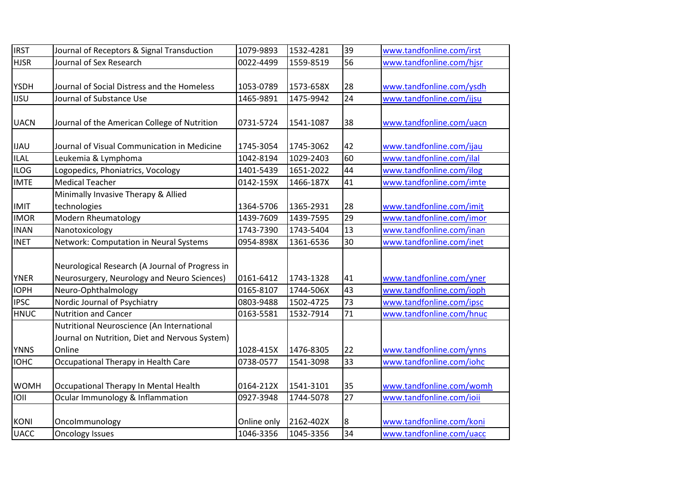| <b>IRST</b> | Journal of Receptors & Signal Transduction      | 1079-9893   | 1532-4281 | 39 | www.tandfonline.com/irst |
|-------------|-------------------------------------------------|-------------|-----------|----|--------------------------|
| <b>HJSR</b> | Journal of Sex Research                         | 0022-4499   | 1559-8519 | 56 | www.tandfonline.com/hjsr |
|             |                                                 |             |           |    |                          |
| <b>YSDH</b> | Journal of Social Distress and the Homeless     | 1053-0789   | 1573-658X | 28 | www.tandfonline.com/ysdh |
| <b>IJSU</b> | Journal of Substance Use                        | 1465-9891   | 1475-9942 | 24 | www.tandfonline.com/ijsu |
|             |                                                 |             |           |    |                          |
| <b>UACN</b> | Journal of the American College of Nutrition    | 0731-5724   | 1541-1087 | 38 | www.tandfonline.com/uacn |
|             |                                                 |             |           |    |                          |
| <b>IJAU</b> | Journal of Visual Communication in Medicine     | 1745-3054   | 1745-3062 | 42 | www.tandfonline.com/ijau |
| ILAL        | Leukemia & Lymphoma                             | 1042-8194   | 1029-2403 | 60 | www.tandfonline.com/ilal |
| <b>ILOG</b> | Logopedics, Phoniatrics, Vocology               | 1401-5439   | 1651-2022 | 44 | www.tandfonline.com/ilog |
| <b>IMTE</b> | <b>Medical Teacher</b>                          | 0142-159X   | 1466-187X | 41 | www.tandfonline.com/imte |
|             | Minimally Invasive Therapy & Allied             |             |           |    |                          |
| <b>IMIT</b> | technologies                                    | 1364-5706   | 1365-2931 | 28 | www.tandfonline.com/imit |
| <b>IMOR</b> | Modern Rheumatology                             | 1439-7609   | 1439-7595 | 29 | www.tandfonline.com/imor |
| <b>INAN</b> | Nanotoxicology                                  | 1743-7390   | 1743-5404 | 13 | www.tandfonline.com/inan |
| <b>INET</b> | Network: Computation in Neural Systems          | 0954-898X   | 1361-6536 | 30 | www.tandfonline.com/inet |
|             |                                                 |             |           |    |                          |
|             | Neurological Research (A Journal of Progress in |             |           |    |                          |
| <b>YNER</b> | Neurosurgery, Neurology and Neuro Sciences)     | 0161-6412   | 1743-1328 | 41 | www.tandfonline.com/yner |
| <b>IOPH</b> | Neuro-Ophthalmology                             | 0165-8107   | 1744-506X | 43 | www.tandfonline.com/ioph |
| <b>IPSC</b> | Nordic Journal of Psychiatry                    | 0803-9488   | 1502-4725 | 73 | www.tandfonline.com/ipsc |
| <b>HNUC</b> | <b>Nutrition and Cancer</b>                     | 0163-5581   | 1532-7914 | 71 | www.tandfonline.com/hnuc |
|             | Nutritional Neuroscience (An International      |             |           |    |                          |
|             | Journal on Nutrition, Diet and Nervous System)  |             |           |    |                          |
| <b>YNNS</b> | Online                                          | 1028-415X   | 1476-8305 | 22 | www.tandfonline.com/ynns |
| <b>IOHC</b> | Occupational Therapy in Health Care             | 0738-0577   | 1541-3098 | 33 | www.tandfonline.com/iohc |
|             |                                                 |             |           |    |                          |
| <b>WOMH</b> | Occupational Therapy In Mental Health           | 0164-212X   | 1541-3101 | 35 | www.tandfonline.com/womh |
| <b>IOII</b> | Ocular Immunology & Inflammation                | 0927-3948   | 1744-5078 | 27 | www.tandfonline.com/ioii |
|             |                                                 |             |           |    |                          |
| <b>KONI</b> | Oncolmmunology                                  | Online only | 2162-402X | 8  | www.tandfonline.com/koni |
| <b>UACC</b> | <b>Oncology Issues</b>                          | 1046-3356   | 1045-3356 | 34 | www.tandfonline.com/uacc |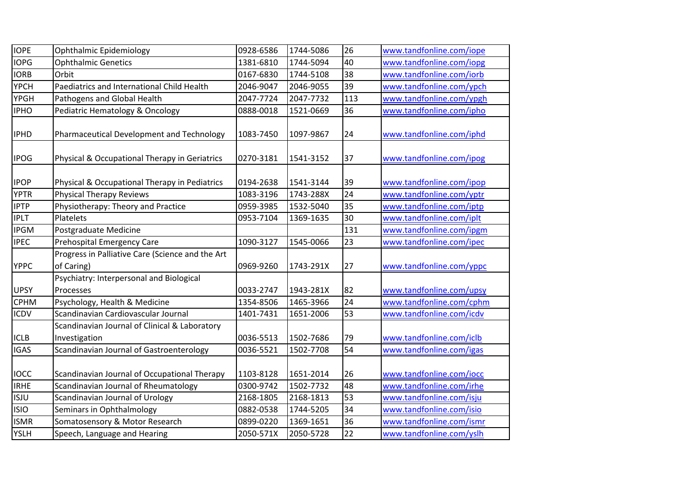| <b>IOPE</b> | Ophthalmic Epidemiology                                        | 0928-6586 | 1744-5086 | 26  | www.tandfonline.com/iope |
|-------------|----------------------------------------------------------------|-----------|-----------|-----|--------------------------|
| <b>IOPG</b> | <b>Ophthalmic Genetics</b>                                     | 1381-6810 | 1744-5094 | 40  | www.tandfonline.com/iopg |
| <b>IORB</b> | Orbit                                                          | 0167-6830 | 1744-5108 | 38  | www.tandfonline.com/iorb |
| <b>YPCH</b> | Paediatrics and International Child Health                     | 2046-9047 | 2046-9055 | 39  | www.tandfonline.com/ypch |
| <b>YPGH</b> | Pathogens and Global Health                                    | 2047-7724 | 2047-7732 | 113 | www.tandfonline.com/ypgh |
| <b>IPHO</b> | Pediatric Hematology & Oncology                                | 0888-0018 | 1521-0669 | 36  | www.tandfonline.com/ipho |
| <b>IPHD</b> | Pharmaceutical Development and Technology                      | 1083-7450 | 1097-9867 | 24  | www.tandfonline.com/iphd |
| <b>IPOG</b> | Physical & Occupational Therapy in Geriatrics                  | 0270-3181 | 1541-3152 | 37  | www.tandfonline.com/ipog |
| <b>IPOP</b> | Physical & Occupational Therapy in Pediatrics                  | 0194-2638 | 1541-3144 | 39  | www.tandfonline.com/ipop |
| <b>YPTR</b> | <b>Physical Therapy Reviews</b>                                | 1083-3196 | 1743-288X | 24  | www.tandfonline.com/yptr |
| <b>IPTP</b> | Physiotherapy: Theory and Practice                             | 0959-3985 | 1532-5040 | 35  | www.tandfonline.com/iptp |
| <b>IPLT</b> | Platelets                                                      | 0953-7104 | 1369-1635 | 30  | www.tandfonline.com/iplt |
| <b>IPGM</b> | Postgraduate Medicine                                          |           |           | 131 | www.tandfonline.com/ipgm |
| <b>IPEC</b> | <b>Prehospital Emergency Care</b>                              | 1090-3127 | 1545-0066 | 23  | www.tandfonline.com/ipec |
| <b>YPPC</b> | Progress in Palliative Care (Science and the Art<br>of Caring) | 0969-9260 | 1743-291X | 27  | www.tandfonline.com/yppc |
| <b>UPSY</b> | Psychiatry: Interpersonal and Biological<br>Processes          | 0033-2747 | 1943-281X | 82  | www.tandfonline.com/upsy |
| <b>CPHM</b> | Psychology, Health & Medicine                                  | 1354-8506 | 1465-3966 | 24  | www.tandfonline.com/cphm |
| <b>ICDV</b> | Scandinavian Cardiovascular Journal                            | 1401-7431 | 1651-2006 | 53  | www.tandfonline.com/icdv |
| <b>ICLB</b> | Scandinavian Journal of Clinical & Laboratory<br>Investigation | 0036-5513 | 1502-7686 | 79  | www.tandfonline.com/iclb |
| <b>IGAS</b> | Scandinavian Journal of Gastroenterology                       | 0036-5521 | 1502-7708 | 54  | www.tandfonline.com/igas |
| <b>IOCC</b> | Scandinavian Journal of Occupational Therapy                   | 1103-8128 | 1651-2014 | 26  | www.tandfonline.com/iocc |
| <b>IRHE</b> | Scandinavian Journal of Rheumatology                           | 0300-9742 | 1502-7732 | 48  | www.tandfonline.com/irhe |
| <b>ISJU</b> | Scandinavian Journal of Urology                                | 2168-1805 | 2168-1813 | 53  | www.tandfonline.com/isju |
| <b>ISIO</b> | Seminars in Ophthalmology                                      | 0882-0538 | 1744-5205 | 34  | www.tandfonline.com/isio |
| <b>ISMR</b> | Somatosensory & Motor Research                                 | 0899-0220 | 1369-1651 | 36  | www.tandfonline.com/ismr |
| YSLH        | Speech, Language and Hearing                                   | 2050-571X | 2050-5728 | 22  | www.tandfonline.com/yslh |